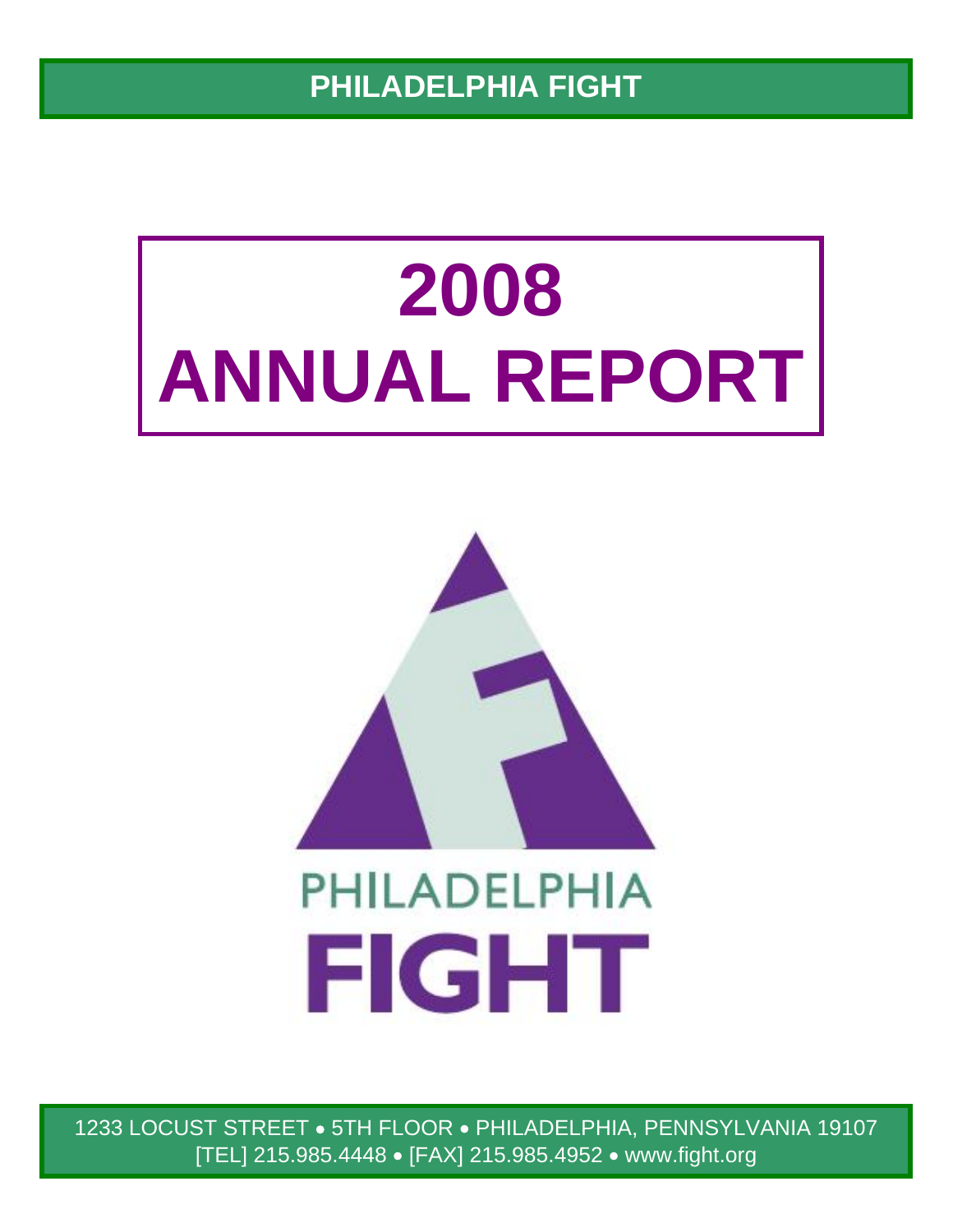**PHILADELPHIA FIGHT** 

# **2008 ANNUAL REPORT**



1233 LOCUST STREET • 5TH FLOOR • PHILADELPHIA, PENNSYLVANIA 19107 [TEL] 215.985.4448 • [FAX] 215.985.4952 • www.fight.org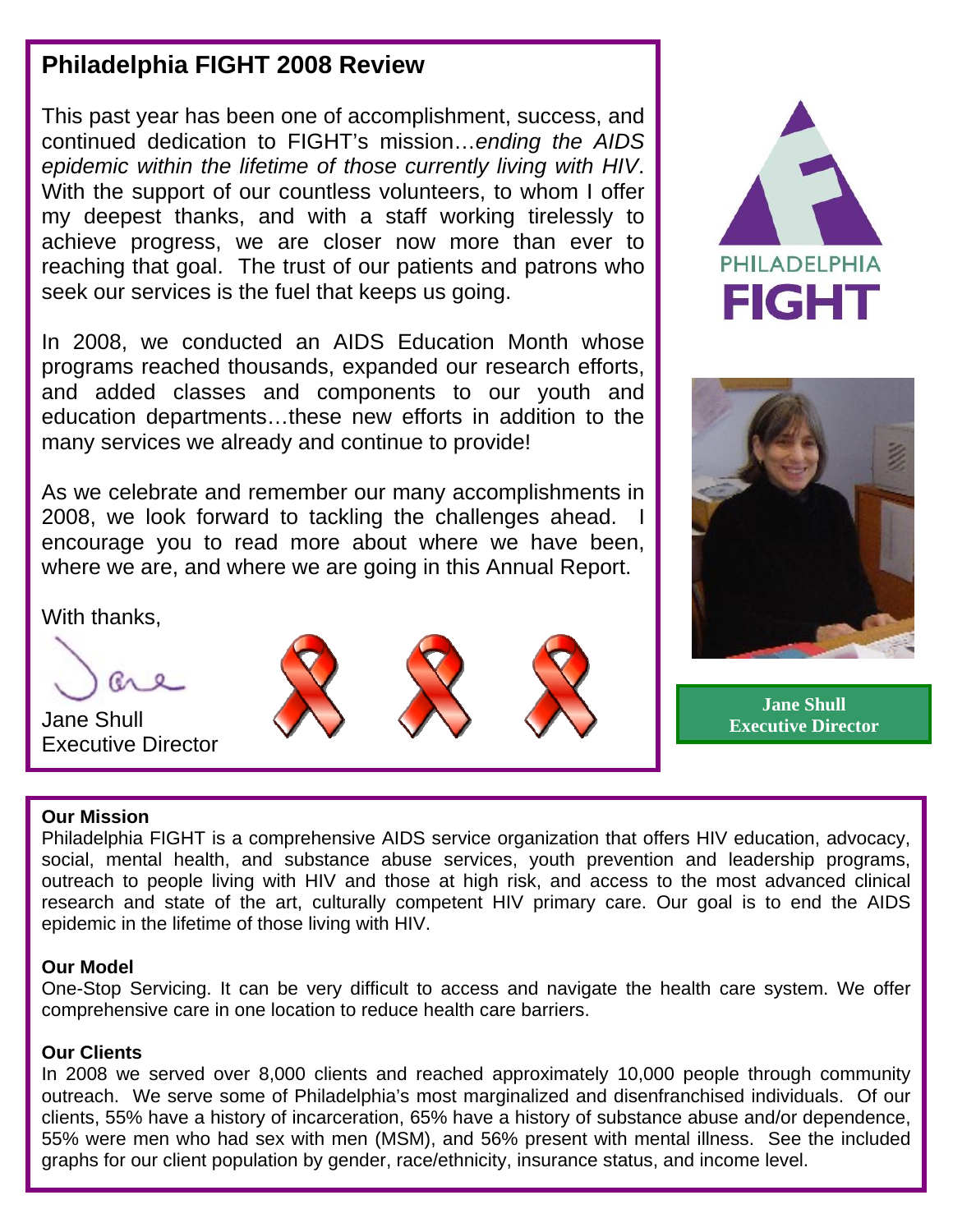# **Philadelphia FIGHT 2008 Review**

This past year has been one of accomplishment, success, and continued dedication to FIGHT's mission…*ending the AIDS epidemic within the lifetime of those currently living with HIV*. With the support of our countless volunteers, to whom I offer my deepest thanks, and with a staff working tirelessly to achieve progress, we are closer now more than ever to reaching that goal. The trust of our patients and patrons who seek our services is the fuel that keeps us going.

In 2008, we conducted an AIDS Education Month whose programs reached thousands, expanded our research efforts, and added classes and components to our youth and education departments…these new efforts in addition to the many services we already and continue to provide!

As we celebrate and remember our many accomplishments in 2008, we look forward to tackling the challenges ahead. encourage you to read more about where we have been, where we are, and where we are going in this Annual Report.

With thanks,



Jane Shull Executive Director







**Jane Shull Executive Director**

### **Our Mission**

Philadelphia FIGHT is a comprehensive AIDS service organization that offers HIV education, advocacy, social, mental health, and substance abuse services, youth prevention and leadership programs, outreach to people living with HIV and those at high risk, and access to the most advanced clinical research and state of the art, culturally competent HIV primary care. Our goal is to end the AIDS epidemic in the lifetime of those living with HIV.

### **Our Model**

One-Stop Servicing. It can be very difficult to access and navigate the health care system. We offer comprehensive care in one location to reduce health care barriers.

### **Our Clients**

In 2008 we served over 8,000 clients and reached approximately 10,000 people through community outreach. We serve some of Philadelphia's most marginalized and disenfranchised individuals. Of our clients, 55% have a history of incarceration, 65% have a history of substance abuse and/or dependence, 55% were men who had sex with men (MSM), and 56% present with mental illness. See the included graphs for our client population by gender, race/ethnicity, insurance status, and income level.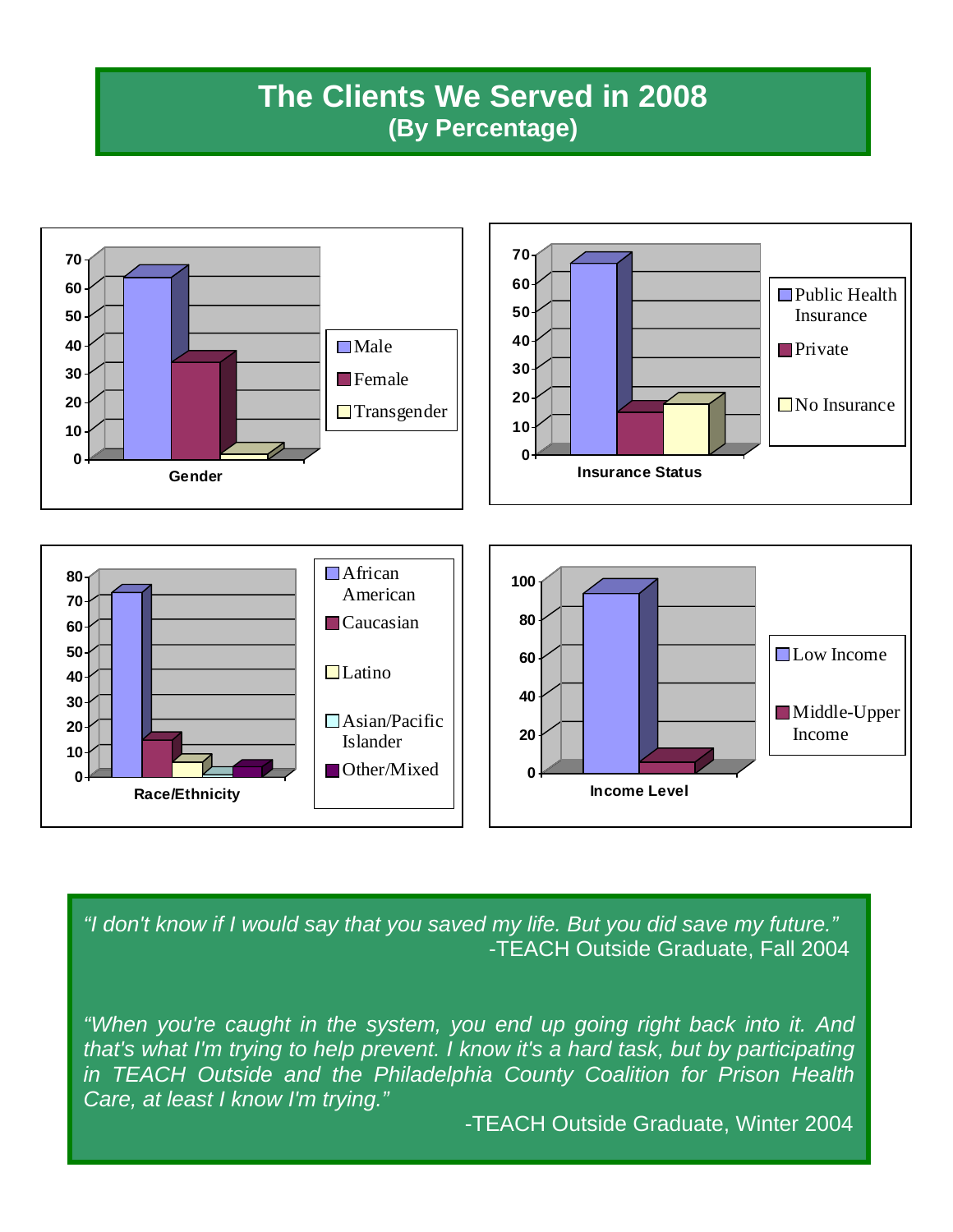# **The Clients We Served in 2008 (By Percentage)**



*"I don't know if I would say that you saved my life. But you did save my future."* -TEACH Outside Graduate, Fall 2004

*"When you're caught in the system, you end up going right back into it. And that's what I'm trying to help prevent. I know it's a hard task, but by participating in TEACH Outside and the Philadelphia County Coalition for Prison Health Care, at least I know I'm trying."* 

-TEACH Outside Graduate, Winter 2004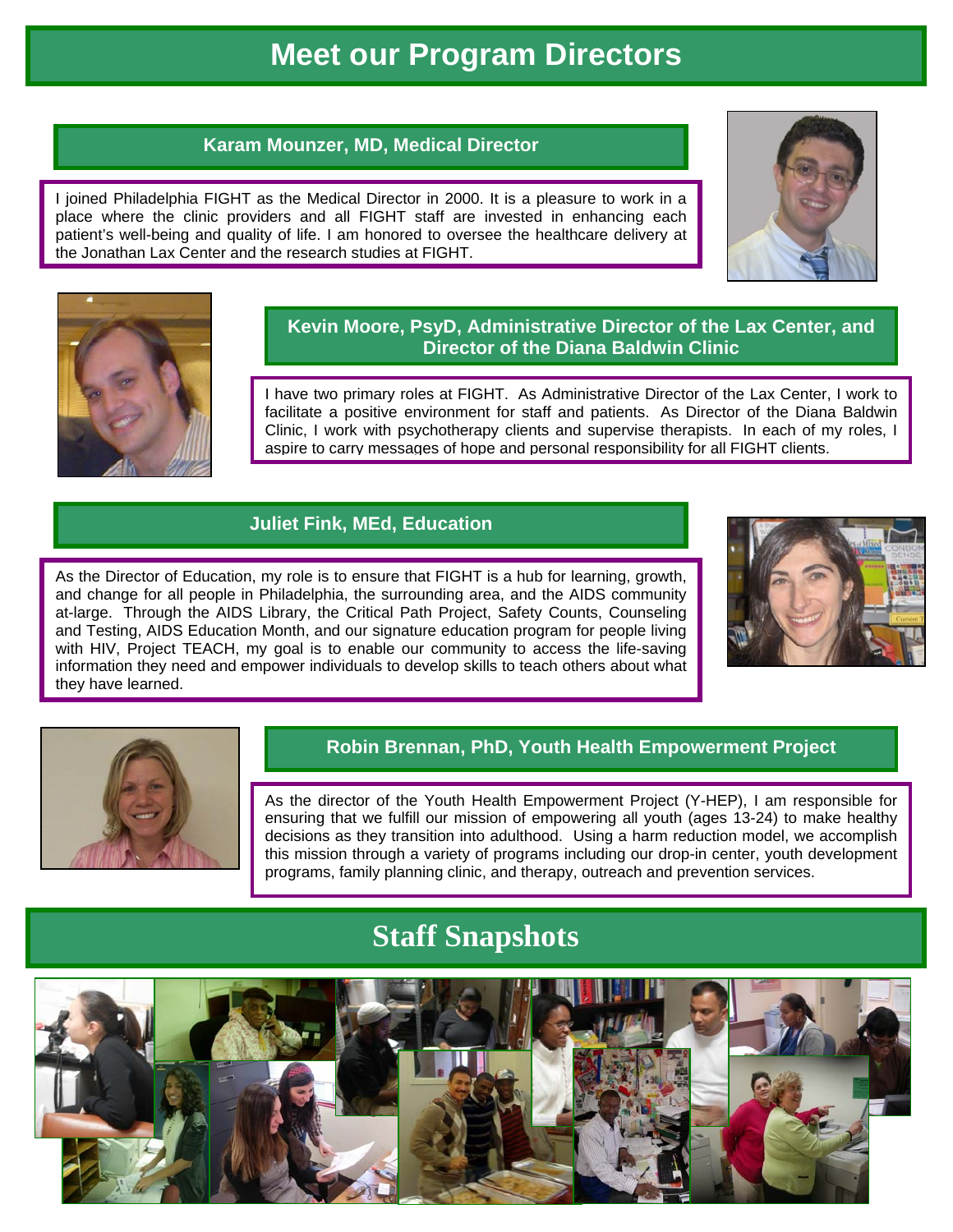# **Meet our Program Directors**

### **Karam Mounzer, MD, Medical Director**

I joined Philadelphia FIGHT as the Medical Director in 2000. It is a pleasure to work in a place where the clinic providers and all FIGHT staff are invested in enhancing each patient's well-being and quality of life. I am honored to oversee the healthcare delivery at the Jonathan Lax Center and the research studies at FIGHT.





### **Kevin Moore, PsyD, Administrative Director of the Lax Center, and Director of the Diana Baldwin Clinic**

I have two primary roles at FIGHT. As Administrative Director of the Lax Center, I work to facilitate a positive environment for staff and patients. As Director of the Diana Baldwin Clinic, I work with psychotherapy clients and supervise therapists. In each of my roles, I aspire to carry messages of hope and personal responsibility for all FIGHT clients.

### **Juliet Fink, MEd, Education**

As the Director of Education, my role is to ensure that FIGHT is a hub for learning, growth, and change for all people in Philadelphia, the surrounding area, and the AIDS community at-large. Through the AIDS Library, the Critical Path Project, Safety Counts, Counseling and Testing, AIDS Education Month, and our signature education program for people living with HIV, Project TEACH, my goal is to enable our community to access the life-saving information they need and empower individuals to develop skills to teach others about what they have learned.





### **Robin Brennan, PhD, Youth Health Empowerment Project**

As the director of the Youth Health Empowerment Project (Y-HEP), I am responsible for ensuring that we fulfill our mission of empowering all youth (ages 13-24) to make healthy decisions as they transition into adulthood. Using a harm reduction model, we accomplish this mission through a variety of programs including our drop-in center, youth development programs, family planning clinic, and therapy, outreach and prevention services.

# **Staff Snapshots**

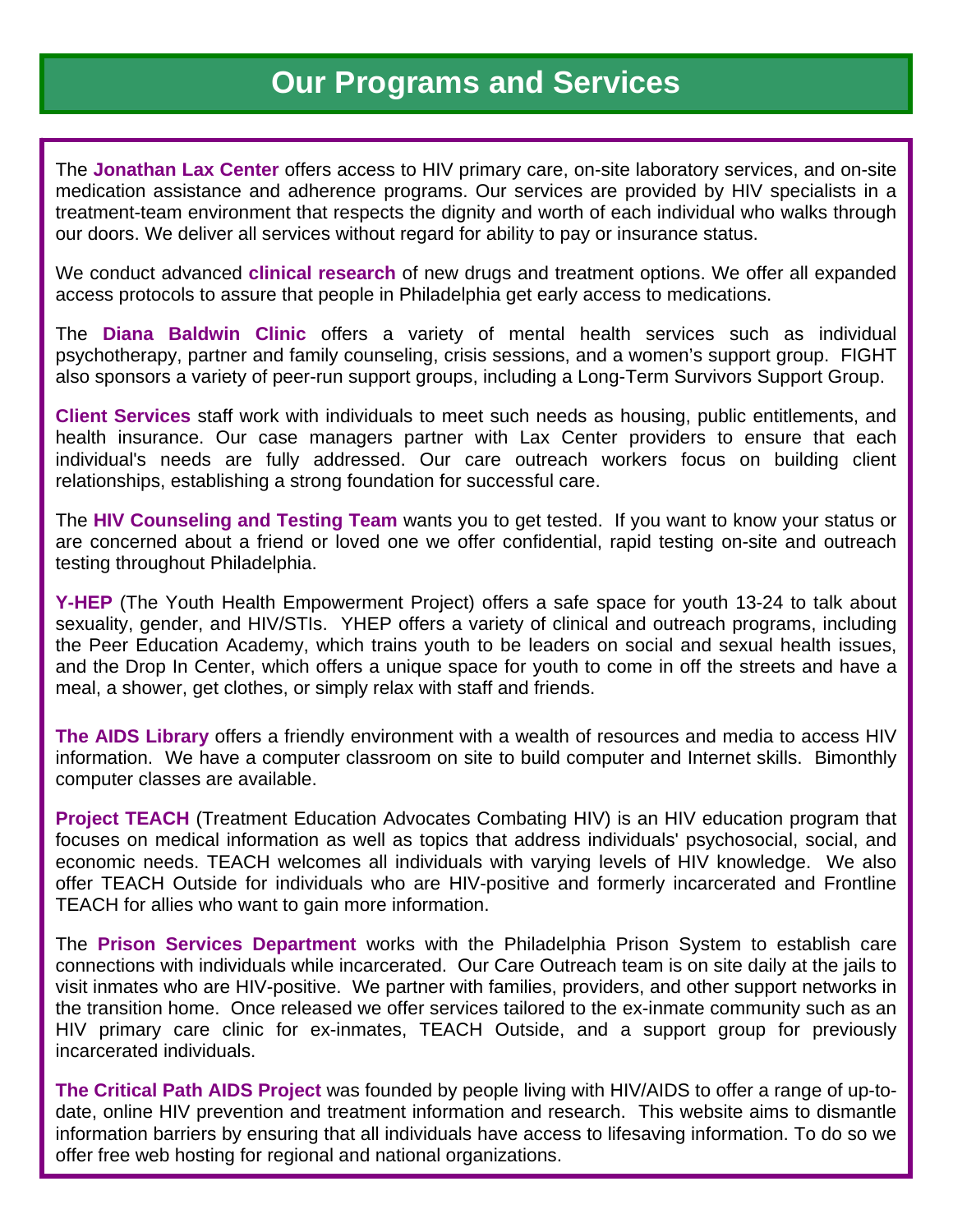# **Our Programs and Services**

The **Jonathan Lax Center** offers access to HIV primary care, on-site laboratory services, and on-site medication assistance and adherence programs. Our services are provided by HIV specialists in a treatment-team environment that respects the dignity and worth of each individual who walks through our doors. We deliver all services without regard for ability to pay or insurance status.

We conduct advanced **clinical research** of new drugs and treatment options. We offer all expanded access protocols to assure that people in Philadelphia get early access to medications.

The **Diana Baldwin Clinic** offers a variety of mental health services such as individual psychotherapy, partner and family counseling, crisis sessions, and a women's support group. FIGHT also sponsors a variety of peer-run support groups, including a Long-Term Survivors Support Group.

**Client Services** staff work with individuals to meet such needs as housing, public entitlements, and health insurance. Our case managers partner with Lax Center providers to ensure that each individual's needs are fully addressed. Our care outreach workers focus on building client relationships, establishing a strong foundation for successful care.

The **HIV Counseling and Testing Team** wants you to get tested. If you want to know your status or are concerned about a friend or loved one we offer confidential, rapid testing on-site and outreach testing throughout Philadelphia.

**Y-HEP** (The Youth Health Empowerment Project) offers a safe space for youth 13-24 to talk about sexuality, gender, and HIV/STIs. YHEP offers a variety of clinical and outreach programs, including the Peer Education Academy, which trains youth to be leaders on social and sexual health issues, and the Drop In Center, which offers a unique space for youth to come in off the streets and have a meal, a shower, get clothes, or simply relax with staff and friends.

**The AIDS Library** offers a friendly environment with a wealth of resources and media to access HIV information. We have a computer classroom on site to build computer and Internet skills. Bimonthly computer classes are available.

**Project TEACH** (Treatment Education Advocates Combating HIV) is an HIV education program that focuses on medical information as well as topics that address individuals' psychosocial, social, and economic needs. TEACH welcomes all individuals with varying levels of HIV knowledge. We also offer TEACH Outside for individuals who are HIV-positive and formerly incarcerated and Frontline TEACH for allies who want to gain more information.

The **Prison Services Department** works with the Philadelphia Prison System to establish care connections with individuals while incarcerated. Our Care Outreach team is on site daily at the jails to visit inmates who are HIV-positive. We partner with families, providers, and other support networks in the transition home. Once released we offer services tailored to the ex-inmate community such as an HIV primary care clinic for ex-inmates, TEACH Outside, and a support group for previously incarcerated individuals.

**The Critical Path AIDS Project** was founded by people living with HIV/AIDS to offer a range of up-todate, online HIV prevention and treatment information and research. This website aims to dismantle information barriers by ensuring that all individuals have access to lifesaving information. To do so we offer free web hosting for regional and national organizations.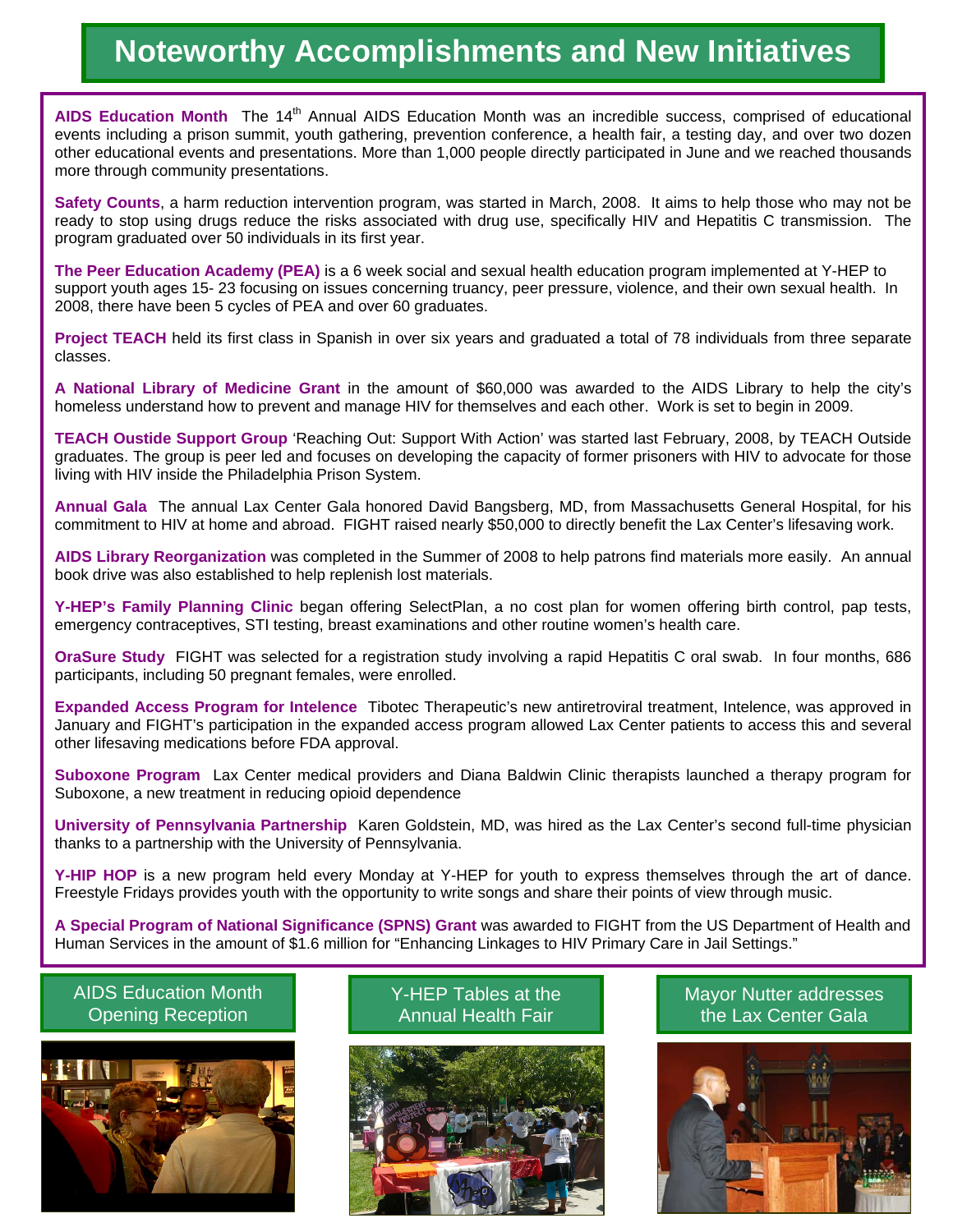# **Noteworthy Accomplishments and New Initiatives**

AIDS Education Month The 14<sup>th</sup> Annual AIDS Education Month was an incredible success, comprised of educational events including a prison summit, youth gathering, prevention conference, a health fair, a testing day, and over two dozen other educational events and presentations. More than 1,000 people directly participated in June and we reached thousands more through community presentations.

**Safety Counts**, a harm reduction intervention program, was started in March, 2008. It aims to help those who may not be ready to stop using drugs reduce the risks associated with drug use, specifically HIV and Hepatitis C transmission. The program graduated over 50 individuals in its first year.

**The Peer Education Academy (PEA)** is a 6 week social and sexual health education program implemented at Y-HEP to support youth ages 15- 23 focusing on issues concerning truancy, peer pressure, violence, and their own sexual health. In 2008, there have been 5 cycles of PEA and over 60 graduates.

**Project TEACH** held its first class in Spanish in over six years and graduated a total of 78 individuals from three separate classes.

**A National Library of Medicine Grant** in the amount of \$60,000 was awarded to the AIDS Library to help the city's homeless understand how to prevent and manage HIV for themselves and each other. Work is set to begin in 2009.

**TEACH Oustide Support Group** 'Reaching Out: Support With Action' was started last February, 2008, by TEACH Outside graduates. The group is peer led and focuses on developing the capacity of former prisoners with HIV to advocate for those living with HIV inside the Philadelphia Prison System.

**Annual Gala** The annual Lax Center Gala honored David Bangsberg, MD, from Massachusetts General Hospital, for his commitment to HIV at home and abroad. FIGHT raised nearly \$50,000 to directly benefit the Lax Center's lifesaving work.

**AIDS Library Reorganization** was completed in the Summer of 2008 to help patrons find materials more easily. An annual book drive was also established to help replenish lost materials.

**Y-HEP's Family Planning Clinic** began offering SelectPlan, a no cost plan for women offering birth control, pap tests, emergency contraceptives, STI testing, breast examinations and other routine women's health care.

**OraSure Study** FIGHT was selected for a registration study involving a rapid Hepatitis C oral swab. In four months, 686 participants, including 50 pregnant females, were enrolled.

**Expanded Access Program for Intelence** Tibotec Therapeutic's new antiretroviral treatment, Intelence, was approved in January and FIGHT's participation in the expanded access program allowed Lax Center patients to access this and several other lifesaving medications before FDA approval.

**Suboxone Program** Lax Center medical providers and Diana Baldwin Clinic therapists launched a therapy program for Suboxone, a new treatment in reducing opioid dependence

**University of Pennsylvania Partnership** Karen Goldstein, MD, was hired as the Lax Center's second full-time physician thanks to a partnership with the University of Pennsylvania.

**Y-HIP HOP** is a new program held every Monday at Y-HEP for youth to express themselves through the art of dance. Freestyle Fridays provides youth with the opportunity to write songs and share their points of view through music.

**A Special Program of National Significance (SPNS) Grant** was awarded to FIGHT from the US Department of Health and Human Services in the amount of \$1.6 million for "Enhancing Linkages to HIV Primary Care in Jail Settings."



Y-HEP Tables at the Opening Reception **Annual Health Fair** Annual Health Fair



### AIDS Education Month Mayor Nutter addresses the Lax Center Gala

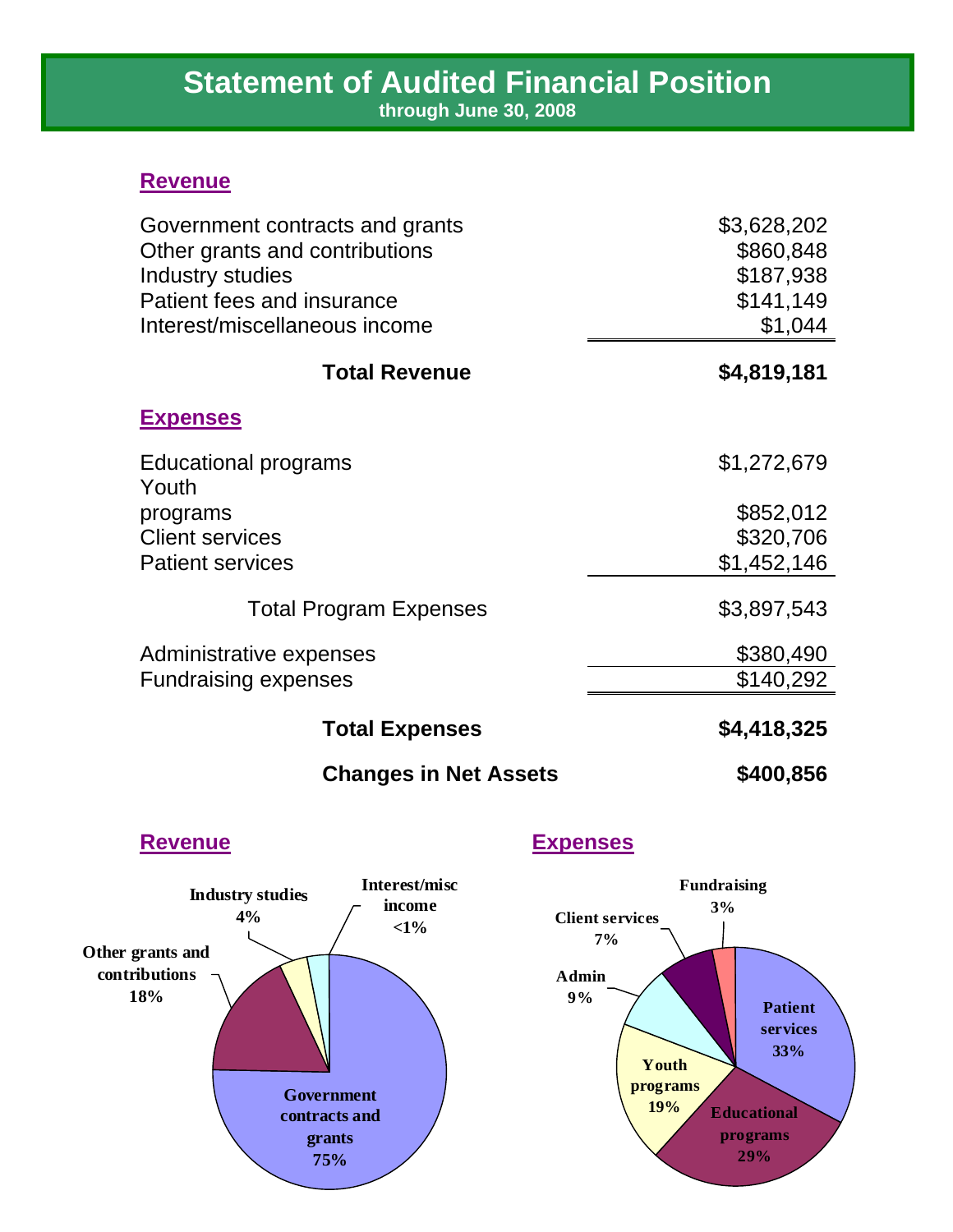# **Statement of Audited Financial Position**

**through June 30, 2008**

### **Revenue**

| Government contracts and grants | \$3,628,202 |
|---------------------------------|-------------|
| Other grants and contributions  | \$860,848   |
| Industry studies                | \$187,938   |
| Patient fees and insurance      | \$141,149   |
| Interest/miscellaneous income   | \$1,044     |
| <b>Total Revenue</b>            | \$4,819,181 |
| <b>Expenses</b>                 |             |
| Educational programs            | \$1,272,679 |
| Youth<br>programs               | \$852,012   |
| <b>Client services</b>          | \$320,706   |
| <b>Patient services</b>         | \$1,452,146 |
|                                 |             |
| <b>Total Program Expenses</b>   | \$3,897,543 |
| Administrative expenses         | \$380,490   |
| <b>Fundraising expenses</b>     | \$140,292   |
| <b>Total Expenses</b>           | \$4,418,325 |
| <b>Changes in Net Assets</b>    | \$400,856   |

### **Revenue**

### **Expenses**



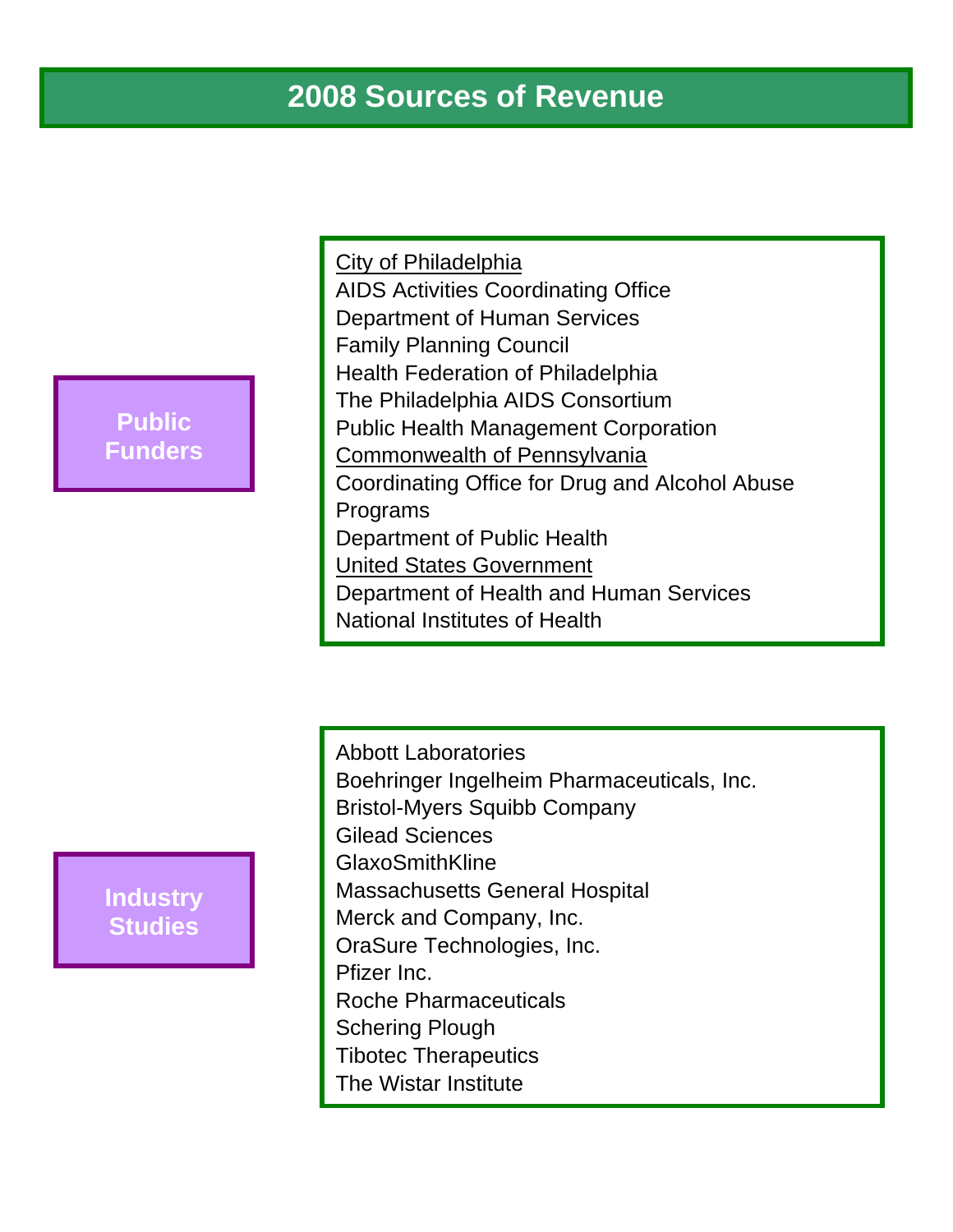# **2008 Sources of Revenue**

# **Public Funders**

City of Philadelphia AIDS Activities Coordinating Office Department of Human Services Family Planning Council Health Federation of Philadelphia The Philadelphia AIDS Consortium Public Health Management Corporation Commonwealth of Pennsylvania Coordinating Office for Drug and Alcohol Abuse Programs Department of Public Health United States Government Department of Health and Human Services National Institutes of Health

# **Industry Studies**

Abbott Laboratories Boehringer Ingelheim Pharmaceuticals, Inc. Bristol-Myers Squibb Company Gilead Sciences GlaxoSmithKline Massachusetts General Hospital Merck and Company, Inc. OraSure Technologies, Inc. Pfizer Inc. Roche Pharmaceuticals Schering Plough Tibotec Therapeutics The Wistar Institute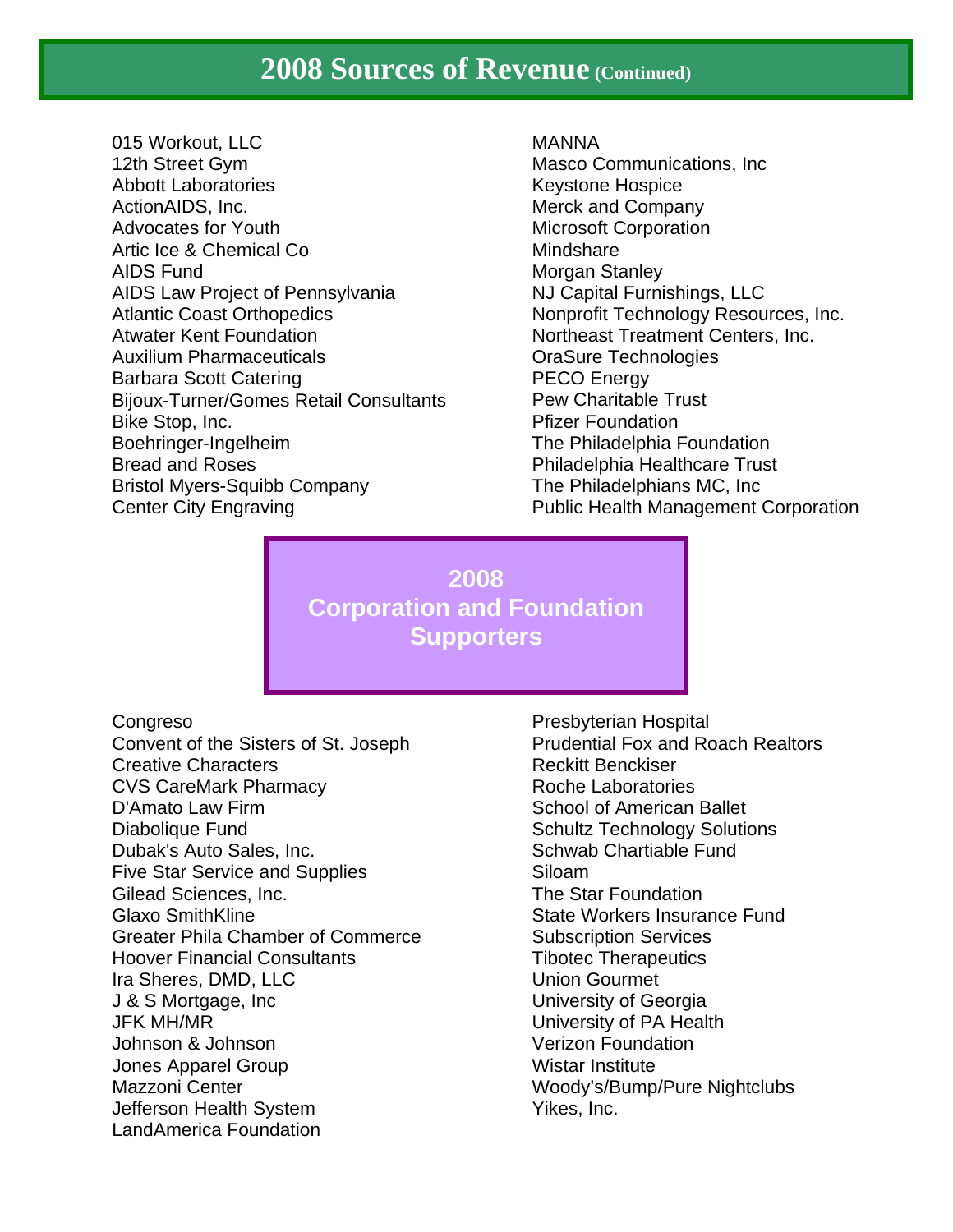# **2008 Sources of Revenue (Continued)**

015 Workout, LLC 12th Street Gym Abbott Laboratories ActionAIDS, Inc. Advocates for Youth Artic Ice & Chemical Co AIDS Fund AIDS Law Project of Pennsylvania Atlantic Coast Orthopedics Atwater Kent Foundation Auxilium Pharmaceuticals Barbara Scott Catering Bijoux-Turner/Gomes Retail Consultants Bike Stop, Inc. Boehringer-Ingelheim Bread and Roses Bristol Myers-Squibb Company Center City Engraving

MANNA Masco Communications, Inc Keystone Hospice Merck and Company Microsoft Corporation Mindshare Morgan Stanley NJ Capital Furnishings, LLC Nonprofit Technology Resources, Inc. Northeast Treatment Centers, Inc. OraSure Technologies PECO Energy Pew Charitable Trust Pfizer Foundation The Philadelphia Foundation Philadelphia Healthcare Trust The Philadelphians MC, Inc Public Health Management Corporation

**2008 Corporation and Foundation Supporters** 

**Congreso** Convent of the Sisters of St. Joseph Creative Characters CVS CareMark Pharmacy D'Amato Law Firm Diabolique Fund Dubak's Auto Sales, Inc. Five Star Service and Supplies Gilead Sciences, Inc. Glaxo SmithKline Greater Phila Chamber of Commerce Hoover Financial Consultants Ira Sheres, DMD, LLC J & S Mortgage, Inc JFK MH/MR Johnson & Johnson Jones Apparel Group Mazzoni Center Jefferson Health System LandAmerica Foundation

Presbyterian Hospital Prudential Fox and Roach Realtors Reckitt Benckiser Roche Laboratories School of American Ballet Schultz Technology Solutions Schwab Chartiable Fund Siloam The Star Foundation State Workers Insurance Fund Subscription Services Tibotec Therapeutics Union Gourmet University of Georgia University of PA Health Verizon Foundation Wistar Institute Woody's/Bump/Pure Nightclubs Yikes, Inc.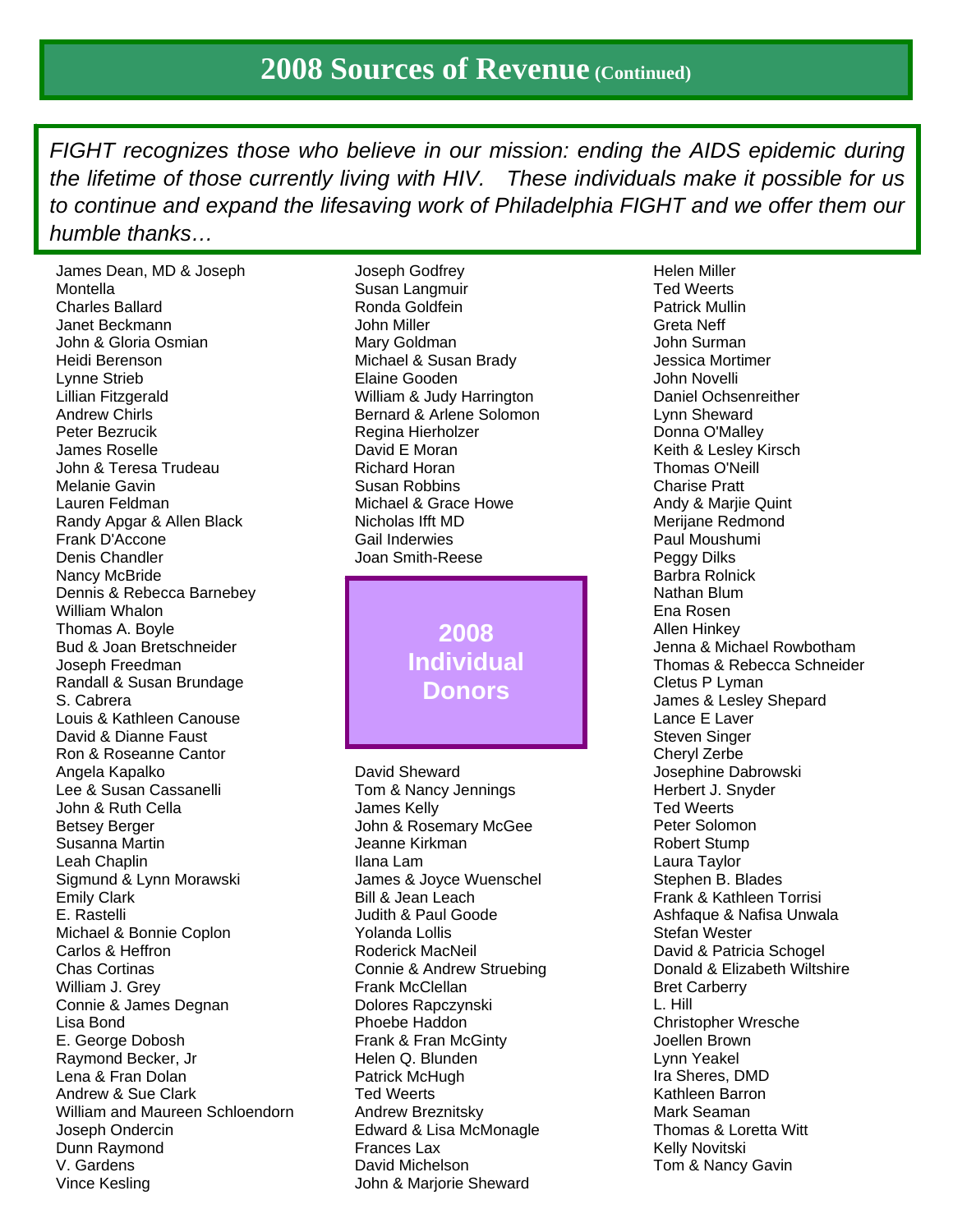*FIGHT recognizes those who believe in our mission: ending the AIDS epidemic during the lifetime of those currently living with HIV. These individuals make it possible for us to continue and expand the lifesaving work of Philadelphia FIGHT and we offer them our humble thanks…* 

James Dean, MD & Joseph Montella Charles Ballard Janet Beckmann John & Gloria Osmian Heidi Berenson Lynne Strieb Lillian Fitzgerald Andrew Chirls Peter Bezrucik James Roselle John & Teresa Trudeau Melanie Gavin Lauren Feldman Randy Apgar & Allen Black Frank D'Accone Denis Chandler Nancy McBride Dennis & Rebecca Barnebey William Whalon Thomas A. Boyle Bud & Joan Bretschneider Joseph Freedman Randall & Susan Brundage S. Cabrera Louis & Kathleen Canouse David & Dianne Faust Ron & Roseanne Cantor Angela Kapalko Lee & Susan Cassanelli John & Ruth Cella Betsey Berger Susanna Martin Leah Chaplin Sigmund & Lynn Morawski Emily Clark E. Rastelli Michael & Bonnie Coplon Carlos & Heffron Chas Cortinas William J. Grey Connie & James Degnan Lisa Bond E. George Dobosh Raymond Becker, Jr Lena & Fran Dolan Andrew & Sue Clark William and Maureen Schloendorn Joseph Ondercin Dunn Raymond V. Gardens Vince Kesling

Joseph Godfrey Susan Langmuir Ronda Goldfein John Miller Mary Goldman Michael & Susan Brady Elaine Gooden William & Judy Harrington Bernard & Arlene Solomon Regina Hierholzer David E Moran Richard Horan Susan Robbins Michael & Grace Howe Nicholas Ifft MD Gail Inderwies Joan Smith-Reese

> **2008 Individual Donors**

David Sheward Tom & Nancy Jennings James Kelly John & Rosemary McGee Jeanne Kirkman Ilana Lam James & Joyce Wuenschel Bill & Jean Leach Judith & Paul Goode Yolanda Lollis Roderick MacNeil Connie & Andrew Struebing Frank McClellan Dolores Rapczynski Phoebe Haddon Frank & Fran McGinty Helen Q. Blunden Patrick McHugh Ted Weerts Andrew Breznitsky Edward & Lisa McMonagle Frances Lax David Michelson John & Marjorie Sheward

Helen Miller Ted Weerts Patrick Mullin Greta Neff John Surman Jessica Mortimer John Novelli Daniel Ochsenreither Lynn Sheward Donna O'Malley Keith & Lesley Kirsch Thomas O'Neill Charise Pratt Andy & Marjie Quint Merijane Redmond Paul Moushumi Peggy Dilks Barbra Rolnick Nathan Blum Ena Rosen Allen Hinkey Jenna & Michael Rowbotham Thomas & Rebecca Schneider Cletus P Lyman James & Lesley Shepard Lance E Laver Steven Singer Cheryl Zerbe Josephine Dabrowski Herbert J. Snyder Ted Weerts Peter Solomon Robert Stump Laura Taylor Stephen B. Blades Frank & Kathleen Torrisi Ashfaque & Nafisa Unwala Stefan Wester David & Patricia Schogel Donald & Elizabeth Wiltshire Bret Carberry L. Hill Christopher Wresche Joellen Brown Lynn Yeakel Ira Sheres, DMD Kathleen Barron Mark Seaman Thomas & Loretta Witt Kelly Novitski Tom & Nancy Gavin